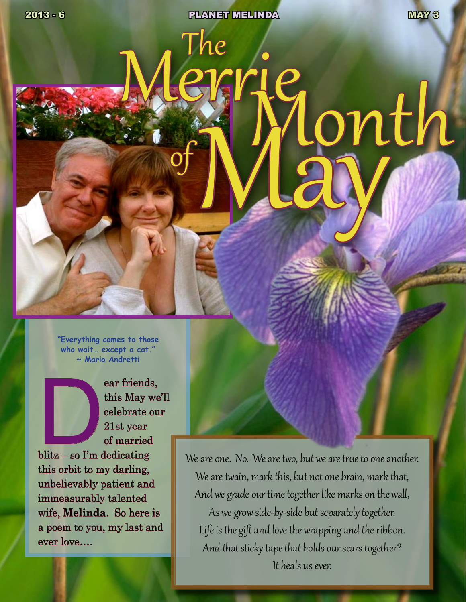**2013 - 6 PLANET MELINDA MAY 3** 

Merrie<br>Month

**"Everything comes to those who wait… except a cat." ~ Mario Andretti**

ear friends,<br>
this May we<br>
celebrate ou<br>
21st year<br>
of married<br>
blitz – so I'm dedicating this May we'll celebrate our 21st year

of married this orbit to my darling, unbelievably patient and immeasurably talented wife, **Melinda**. So here is a poem to you, my last and ever love….

We are one. No. We are two, but we are true to one another. We are twain, mark this, but not one brain, mark that, And we grade our time together like marks on the wall, As we grow side-by-side but separately together. Life is the gift and love the wrapping and the ribbon. And that sticky tape that holds our scars together? It heals us ever.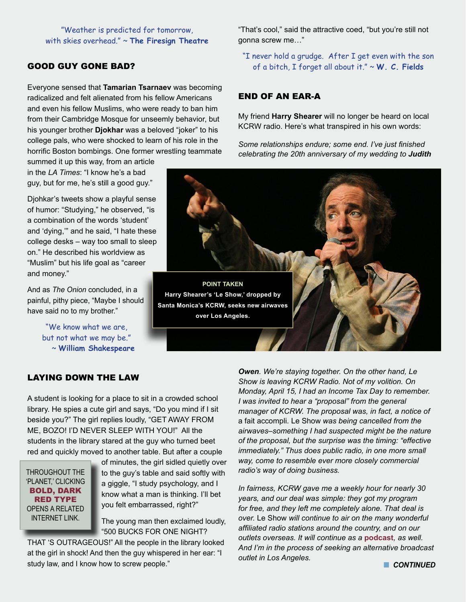#### "Weather is predicted for tomorrow, with skies overhead." ~ **The Firesign Theatre**

# GOOD GUY GONE BAD?

Everyone sensed that **Tamarian Tsarnaev** was becoming radicalized and felt alienated from his fellow Americans and even his fellow Muslims, who were ready to ban him from their Cambridge Mosque for unseemly behavior, but his younger brother **Djokhar** was a beloved "joker" to his college pals, who were shocked to learn of his role in the horrific Boston bombings. One former wrestling teammate

summed it up this way, from an article in the *LA Times*: "I know he's a bad guy, but for me, he's still a good guy."

Djohkar's tweets show a playful sense of humor: "Studying," he observed, "is a combination of the words 'student' and 'dying,'" and he said, "I hate these college desks – way too small to sleep on." He described his worldview as "Muslim" but his life goal as "career and money."

And as *The Onion* concluded, in a painful, pithy piece, "Maybe I should have said no to my brother."

> "We know what we are, but not what we may be." ~ **William Shakespeare**

# LAYING DOWN THE LAW

A student is looking for a place to sit in a crowded school library. He spies a cute girl and says, "Do you mind if I sit beside you?" The girl replies loudly, "GET AWAY FROM ME, BOZO! I'D NEVER SLEEP WITH YOU!" All the students in the library stared at the guy who turned beet red and quickly moved to another table. But after a couple

THROUGHOUT THE 'PLANET,' CLICKING BOLD, DARK RED TYPE OPENS A RELATED INTERNET LINK.

of minutes, the girl sidled quietly over to the guy's table and said softly with a giggle, "I study psychology, and I know what a man is thinking. I'll bet you felt embarrassed, right?"

The young man then exclaimed loudly, "500 BUCKS FOR ONE NIGHT?

THAT 'S OUTRAGEOUS!" All the people in the library looked at the girl in shock! And then the guy whispered in her ear: "I study law, and I know how to screw people."

"That's cool," said the attractive coed, "but you're still not gonna screw me…"

"I never hold a grudge. After I get even with the son of a bitch, I forget all about it." ~ **W. C. Fields**

## END OF AN EAR-A

My friend **Harry Shearer** will no longer be heard on local KCRW radio. Here's what transpired in his own words:

*Some relationships endure; some end. I've just finished celebrating the 20th anniversary of my wedding to Judith* 



*Owen. We're staying together. On the other hand, Le Show is leaving KCRW Radio. Not of my volition. On Monday, April 15, I had an Income Tax Day to remember. I was invited to hear a "proposal" from the general manager of KCRW. The proposal was, in fact, a notice of*  a fait accompli. Le Show *was being cancelled from the airwaves–something I had suspected might be the nature of the proposal, but the surprise was the timing: "effective immediately." Thus does public radio, in one more small way, come to resemble ever more closely commercial radio's way of doing business.*

*In fairness, KCRW gave me a weekly hour for nearly 30 years, and our deal was simple: they got my program for free, and they left me completely alone. That deal is over.* Le Show *will continue to air on the many wonderful affiliated radio stations around the country, and on our outlets overseas. It will continue as a* **[podcast](http://harryshearer.com/le-show/)***, as well. And I'm in the process of seeking an alternative broadcast outlet in Los Angeles.*

**n** CONTINUED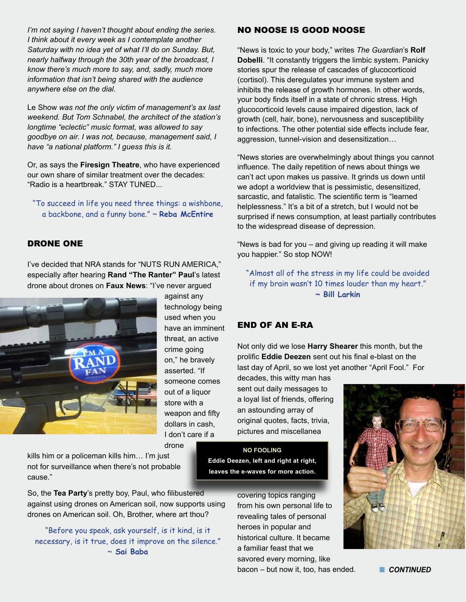*I'm not saying I haven't thought about ending the series. I think about it every week as I contemplate another Saturday with no idea yet of what I'll do on Sunday. But, nearly halfway through the 30th year of the broadcast, I know there's much more to say, and, sadly, much more information that isn't being shared with the audience anywhere else on the dial.*

Le Show *was not the only victim of management's ax last weekend. But Tom Schnabel, the architect of the station's longtime "eclectic" music format, was allowed to say goodbye on air. I was not, because, management said, I have "a national platform." I guess this is it.*

Or, as says the **Firesign Theatre**, who have experienced our own share of similar treatment over the decades: "Radio is a heartbreak." STAY TUNED...

"To succeed in life you need three things: a wishbone, a backbone, and a funny bone." ~ **Reba McEntire**

#### DRONE ONE

I've decided that NRA stands for "NUTS RUN AMERICA," especially after hearing **Rand "The Ranter" Paul**'s latest drone about drones on **Faux News**: "I've never argued



against any technology being used when you have an imminent threat, an active crime going on," he bravely asserted. "If someone comes out of a liquor store with a weapon and fifty dollars in cash, I don't care if a drone

kills him or a policeman kills him… I'm just not for surveillance when there's not probable cause."

So, the **Tea Party**'s pretty boy, Paul, who filibustered against using drones on American soil, now supports using drones on American soil. Oh, Brother, where art thou?

"Before you speak, ask yourself, is it kind, is it necessary, is it true, does it improve on the silence." ~ **Sai Baba**

NO NOOSE IS GOOD NOOSE

"News is toxic to your body," writes *The Guardian*'s **Rolf Dobelli**. "It constantly triggers the limbic system. Panicky stories spur the release of cascades of glucocorticoid (cortisol). This deregulates your immune system and inhibits the release of growth hormones. In other words, your body finds itself in a state of chronic stress. High glucocorticoid levels cause impaired digestion, lack of growth (cell, hair, bone), nervousness and susceptibility to infections. The other potential side effects include fear, aggression, tunnel-vision and desensitization…

"News stories are overwhelmingly about things you cannot influence. The daily repetition of news about things we can't act upon makes us passive. It grinds us down until we adopt a worldview that is pessimistic, desensitized, sarcastic, and fatalistic. The scientific term is "learned helplessness." It's a bit of a stretch, but I would not be surprised if news consumption, at least partially contributes to the widespread disease of depression.

"News is bad for you – and giving up reading it will make you happier." So stop NOW!

"Almost all of the stress in my life could be avoided if my brain wasn't 10 times louder than my heart." **~ Bill Larkin**

#### END OF AN E-RA

Not only did we lose **Harry Shearer** this month, but the prolific **Eddie Deezen** sent out his final e-blast on the last day of April, so we lost yet another "April Fool." For

decades, this witty man has sent out daily messages to a loyal list of friends, offering an astounding array of original quotes, facts, trivia, pictures and miscellanea

**NO FOOLING Eddie Deezen, left and right at right, leaves the e-waves for more action.**

> covering topics ranging from his own personal life to revealing tales of personal heroes in popular and historical culture. It became a familiar feast that we savored every morning, like bacon – but now it, too, has ended. **Note that CONTINUED**

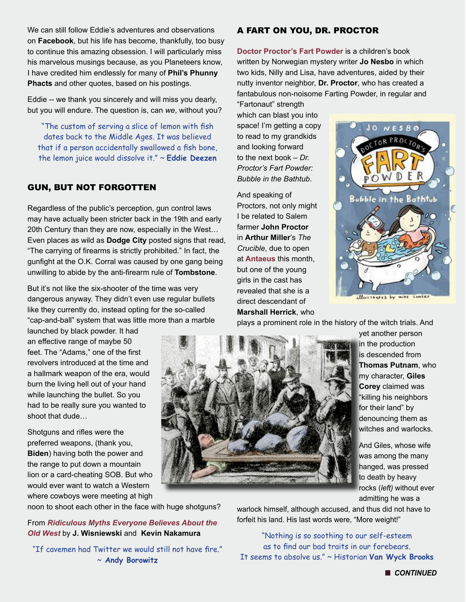We can still follow Eddie's adventures and observations on **Facebook**, but his life has become, thankfully, too busy to continue this amazing obsession. I will particularly miss his marvelous musings because, as you Planeteers know, I have credited him endlessly for many of **Phil's Phunny Phacts** and other quotes, based on his postings.

Eddie -- we thank you sincerely and will miss you dearly, but you will endure. The question is, can *we*, without you?

"The custom of serving a slice of lemon with fish dates back to the Middle Ages. It was believed that if a person accidentally swallowed a fish bone, the lemon juice would dissolve it." ~ **Eddie Deezen**

### GUN, BUT NOT FORGOTTEN

Regardless of the public's perception, gun control laws may have actually been stricter back in the 19th and early 20th Century than they are now, especially in the West… Even places as wild as **Dodge City** posted signs that read, "The carrying of firearms is strictly prohibited." In fact, the gunfight at the O.K. Corral was caused by one gang being unwilling to abide by the anti-firearm rule of **Tombstone**.

But it's not like the six-shooter of the time was very dangerous anyway. They didn't even use regular bullets like they currently do, instead opting for the so-called "cap-and-ball" system that was little more than a marble

launched by black powder. It had an effective range of maybe 50 feet. The "Adams," one of the first revolvers introduced at the time and a hallmark weapon of the era, would burn the living hell out of your hand while launching the bullet. So you had to be really sure you wanted to shoot that dude…

Shotguns and rifles were the preferred weapons, (thank you, **Biden**) having both the power and the range to put down a mountain lion or a card-cheating SOB. But who would ever want to watch a Western where cowboys were meeting at high

noon to shoot each other in the face with huge shotguns?

# A FART ON YOU, DR. PROCTOR

**[Doctor Proctor's Fart Powder](http://www.amazon.com/gp/product/1416979735/ref=as_li_ss_tl?ie=UTF8&tag=litforkid-20&linkCode=as2&camp=1789&creative=390957&creativeASIN=1416979735)** is a children's book written by Norwegian mystery writer **Jo Nesbo** in which two kids, Nilly and Lisa, have adventures, aided by their nutty inventor neighbor, **Dr. Proctor**, who has created a fantabulous non-noisome Farting Powder, in regular and

"Fartonaut" strength which can blast you into space! I'm getting a copy to read to my grandkids and looking forward to the next book – *Dr. Proctor's Fart Powder: Bubble in the Bathtub*.

And speaking of Proctors, not only might I be related to Salem farmer **John Proctor** in **Arthur Miller**'s *The Crucible*, due to open at **[Antaeus](http://www.antaeus.org/)** this month, but one of the young girls in the cast has revealed that she is a direct descendant of **Marshall Herrick**, who



illustrates by mike Lowers

plays a prominent role in the history of the witch trials. And



yet another person in the production is descended from **Thomas Putnam**, who my character, **Giles Corey** claimed was "killing his neighbors for their land" by denouncing them as witches and warlocks.

And Giles, whose wife was among the many hanged, was pressed to death by heavy rocks (*left)* without ever admitting he was a

From *[Ridiculous Myths Everyone Believes About the](http://www.cracked.com/article_20372_5-ridiculous-myths-everyone-believes-about-wild-west.html)  [Old West](http://www.cracked.com/article_20372_5-ridiculous-myths-everyone-believes-about-wild-west.html)* by **J. Wisniewski** and **Kevin Nakamura**

"If cavemen had Twitter we would still not have fire." ~ **Andy Borowitz**

warlock himself, although accused, and thus did not have to forfeit his land. His last words were, "More weight!"

"Nothing is so soothing to our self-esteem as to find our bad traits in our forebears. It seems to absolve us." ~ Historian **Van Wyck Brooks**

**n** CONTINUED